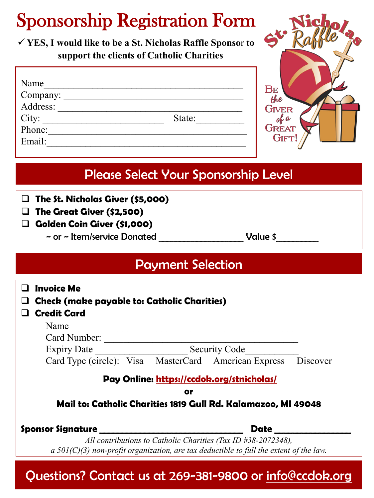## Sponsorship Registration Form

 **YES, I would like to be a St. Nicholas Raffle Sponso**r **to support the clients of Catholic Charities**

| Name              |        |
|-------------------|--------|
| Company:          |        |
| Address:          |        |
| $City:$<br>Phone: | State: |
|                   |        |
| Email:            |        |



## Please Select Your Sponsorship Level

- **The St. Nicholas Giver (\$5,000)**
- **The Great Giver (\$2,500)**
- **Golden Coin Giver (\$1,000)**
	- ~ or ~ Item/service Donated Value \$

### Payment Selection

| <b>Invoice Me</b><br><b>Check (make payable to: Catholic Charities)</b>                                                                                   |                  |  |
|-----------------------------------------------------------------------------------------------------------------------------------------------------------|------------------|--|
| <b>Credit Card</b>                                                                                                                                        |                  |  |
| Name                                                                                                                                                      |                  |  |
| Card Number:                                                                                                                                              |                  |  |
| <b>Expiry Date</b><br><b>Security Code</b>                                                                                                                |                  |  |
| Card Type (circle): Visa MasterCard American Express                                                                                                      | Discover         |  |
| Pay Online: https://ccdok.org/stnicholas/                                                                                                                 |                  |  |
| or                                                                                                                                                        |                  |  |
| Mail to: Catholic Charities 1819 Gull Rd. Kalamazoo, MI 49048                                                                                             |                  |  |
| <b>Sponsor Signature</b>                                                                                                                                  | Date <b>Date</b> |  |
| All contributions to Catholic Charities (Tax ID #38-2072348),<br>a $501(C)(3)$ non-profit organization, are tax deductible to full the extent of the law. |                  |  |

Questions? Contact us at 269-381-9800 or info@ccdok.org